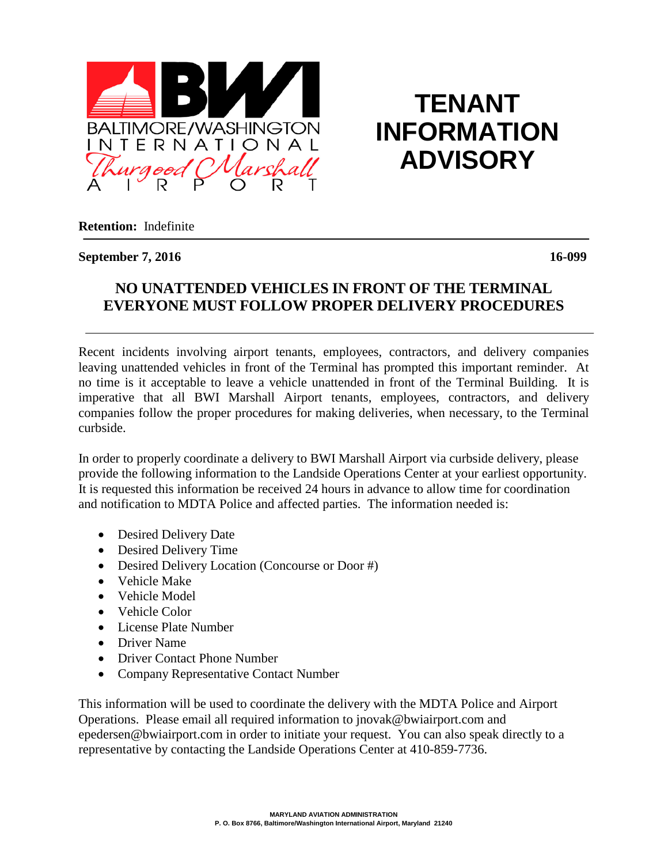

## **TENANT INFORMATION ADVISORY**

**Retention:** Indefinite

## **September 7, 2016 16-099**

## **NO UNATTENDED VEHICLES IN FRONT OF THE TERMINAL EVERYONE MUST FOLLOW PROPER DELIVERY PROCEDURES**

Recent incidents involving airport tenants, employees, contractors, and delivery companies leaving unattended vehicles in front of the Terminal has prompted this important reminder. At no time is it acceptable to leave a vehicle unattended in front of the Terminal Building. It is imperative that all BWI Marshall Airport tenants, employees, contractors, and delivery companies follow the proper procedures for making deliveries, when necessary, to the Terminal curbside.

In order to properly coordinate a delivery to BWI Marshall Airport via curbside delivery, please provide the following information to the Landside Operations Center at your earliest opportunity. It is requested this information be received 24 hours in advance to allow time for coordination and notification to MDTA Police and affected parties. The information needed is:

- Desired Delivery Date
- Desired Delivery Time
- Desired Delivery Location (Concourse or Door #)
- Vehicle Make
- Vehicle Model
- Vehicle Color
- License Plate Number
- Driver Name
- Driver Contact Phone Number
- Company Representative Contact Number

This information will be used to coordinate the delivery with the MDTA Police and Airport Operations. Please email all required information to jnovak@bwiairport.com and epedersen@bwiairport.com in order to initiate your request. You can also speak directly to a representative by contacting the Landside Operations Center at 410-859-7736.